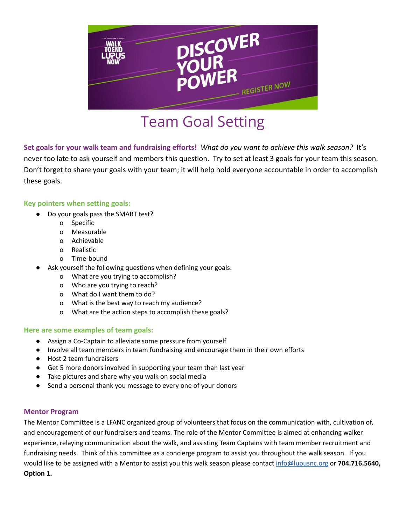

## Team Goal Setting

**Set goals for your walk team and fundraising efforts!** *What do you want to achieve this walk season?* It's never too late to ask yourself and members this question. Try to set at least 3 goals for your team this season. Don't forget to share your goals with your team; it will help hold everyone accountable in order to accomplish these goals.

### **Key pointers when setting goals:**

- Do your goals pass the SMART test?
	- o Specific
	- o Measurable
	- o Achievable
	- o Realistic
	- o Time-bound
- Ask yourself the following questions when defining your goals:
	- o What are you trying to accomplish?
	- o Who are you trying to reach?
	- o What do I want them to do?
	- o What is the best way to reach my audience?
	- o What are the action steps to accomplish these goals?

### **Here are some examples of team goals:**

- Assign a Co-Captain to alleviate some pressure from yourself
- Involve all team members in team fundraising and encourage them in their own efforts
- Host 2 team fundraisers
- Get 5 more donors involved in supporting your team than last year
- Take pictures and share why you walk on social media
- Send a personal thank you message to every one of your donors

### **Mentor Program**

The Mentor Committee is a LFANC organized group of volunteers that focus on the communication with, cultivation of, and encouragement of our fundraisers and teams. The role of the Mentor Committee is aimed at enhancing walker experience, relaying communication about the walk, and assisting Team Captains with team member recruitment and fundraising needs. Think of this committee as a concierge program to assist you throughout the walk season. If you would like to be assigned with a Mentor to assist you this walk season please contact [info@lupusnc.org](mailto:info@lupusnc.org) or **704.716.5640, Option 1.**